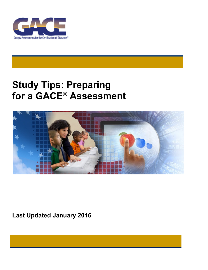

# **Study Tips: Preparing for a GACE® Assessment**



**Last Updated January 2016**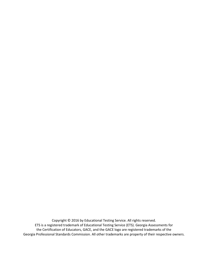Copyright © 2016 by Educational Testing Service. All rights reserved. ETS is a registered trademark of Educational Testing Service (ETS). Georgia Assessments for the Certification of Educators, GACE, and the GACE logo are registered trademarks of the Georgia Professional Standards Commission. All other trademarks are property of their respective owners.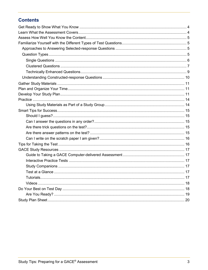## **Contents**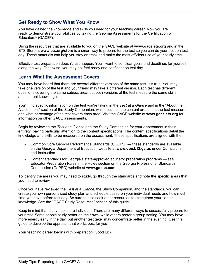### <span id="page-3-0"></span>**Get Ready to Show What You Know**

You have gained the knowledge and skills you need for your teaching career. Now you are ready to demonstrate your abilities by taking the Georgia Assessments for the Certification of Educators® (GACE®).

Using the resources that are available to you on the GACE website at **[www.gace.ets.org](http://www.gace.ets.org/)** and in the ETS Store at **[www.ets.org/store](http://www.ets.org/store)** is a smart way to prepare for the test so you can do your best on test day. These materials can help you stay on track and make the most efficient use of your study time.

Effective test preparation doesn't just happen. You'll want to set clear goals and deadlines for yourself along the way. Otherwise, you may not feel ready and confident on test day.

### <span id="page-3-1"></span>**Learn What the Assessment Covers**

You may have heard that there are several different versions of the same test. It's true. You may take one version of the test and your friend may take a different version. Each test has different questions covering the same subject area, but both versions of the test measure the same skills and content knowledge.

You'll find specific information on the test you're taking in the *Test at a Glance* and in the "About the Assessment" section of the Study Companion, which outlines the content areas that the test measures and what percentage of the test covers each area. Visit the GACE website at **[www.gace.ets.org](http://www.gace.ets.org/)** for information on other GACE assessments.

Begin by reviewing the *Test at a Glance* and the Study Companion for your assessment in their entirety, paying particular attention to the content specifications. The content specifications detail the knowledge and skills to be measured on the assessment. These specifications are aligned with the:

- Common Core Georgia Performance Standards (CCGPS) these standards are available on the Georgia Department of Education website at **[www.doe.k12.ga.us](http://www.doe.k12.ga.us/)** under Curriculum and Instruction
- Content standards for Georgia's state-approved educator preparation programs see Educator Preparation Rules in the Rules section on the Georgia Professional Standards Commission (GaPSC) website at **[www.gapsc.com](http://www.gapsc.com/)**

To identify the areas you may need to study, go through the standards and note the specific areas that you need to review.

Once you have reviewed the *Test at a Glance*, the Study Companion, and the standards, you can create your own personalized study plan and schedule based on your individual needs and how much time you have before test day. Be sure to also seek other resources to strengthen your content knowledge. See the "GACE Study Resources" section of this guide.

Keep in mind that study habits are individual. There are many different ways to successfully prepare for your test. Some people study better on their own, while others prefer a group setting. You may have more energy early in the day, but another test taker may concentrate better in the evening. Use this guide to develop the approach that works best for you.

Your teaching career begins with preparation. Good luck!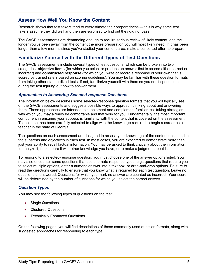### <span id="page-4-0"></span>**Assess How Well You Know the Content**

Research shows that test takers tend to overestimate their preparedness — this is why some test takers assume they did well and then are surprised to find out they did not pass.

The GACE assessments are demanding enough to require serious review of likely content, and the longer you've been away from the content the more preparation you will most likely need. If it has been longer than a few months since you've studied your content area, make a concerted effort to prepare.

### <span id="page-4-1"></span>**Familiarize Yourself with the Different Types of Test Questions**

The GACE assessments include several types of test questions, which can be broken into two categories: **objective items** (for which you select or produce an answer that is scored either correct or incorrect) and **constructed response** (for which you write or record a response of your own that is scored by trained raters based on scoring guidelines). You may be familiar with these question formats from taking other standardized tests. If not, familiarize yourself with them so you don't spend time during the test figuring out how to answer them.

### <span id="page-4-2"></span>*Approaches to Answering Selected-response Questions*

The information below describes some selected-response question formats that you will typically see on the GACE assessments and suggests possible ways to approach thinking about and answering them. These approaches are intended to supplement and complement familiar test-taking strategies with which you may already be comfortable and that work for you. Fundamentally, the most important component in ensuring your success is familiarity with the content that is covered on the assessment. This content has been carefully selected to align with the knowledge required to begin a career as a teacher in the state of Georgia.

The questions on each assessment are designed to assess your knowledge of the content described in the subareas and objectives in each test. In most cases, you are expected to demonstrate more than just your ability to recall factual information. You may be asked to think critically about the information, to analyze it, to compare it with other knowledge you have, or to make a judgment about it.

To respond to a selected-response question, you must choose one of the answer options listed. You may also encounter some questions that use alternate response types; e.g., questions that require you to select multiple options, enter a numeric answer into a text box, or drag-and-drop options. Be sure to read the directions carefully to ensure that you know what is required for each test question. Leave no questions unanswered. Questions for which you mark no answer are counted as incorrect. Your score will be determined by the number of questions for which you select the correct answer.

### <span id="page-4-3"></span>*Question Types*

You may see the following types of questions on the test:

- Single Questions
- Clustered Questions
- Technically Enhanced Questions

On the following pages, you will find descriptions of these commonly used question formats, along with suggested approaches for responding to each type.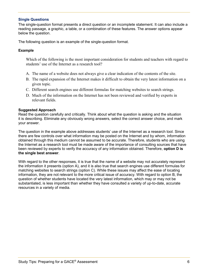### <span id="page-5-0"></span>**Single Questions**

The single-question format presents a direct question or an incomplete statement. It can also include a reading passage, a graphic, a table, or a combination of these features. The answer options appear below the question.

The following question is an example of the single-question format.

### **Example**

Which of the following is the most important consideration for students and teachers with regard to students' use of the Internet as a research tool?

- A. The name of a website does not always give a clear indication of the contents of the site.
- B. The rapid expansion of the Internet makes it difficult to obtain the very latest information on a given topic.
- C. Different search engines use different formulas for matching websites to search strings.
- D. Much of the information on the Internet has not been reviewed and verified by experts in relevant fields.

#### **Suggested Approach**

Read the question carefully and critically. Think about what the question is asking and the situation it is describing. Eliminate any obviously wrong answers, select the correct answer choice, and mark your answer.

The question in the example above addresses students' use of the Internet as a research tool. Since there are few controls over what information may be posted on the Internet and by whom, information obtained through this medium cannot be assumed to be accurate. Therefore, students who are using the Internet as a research tool must be made aware of the importance of consulting sources that have been reviewed by experts to verify the accuracy of any information obtained. Therefore, **option D is the single best answer**.

With regard to the other responses, it is true that the name of a website may not accurately represent the information it presents (option A), and it is also true that search engines use different formulas for matching websites to search strings (option C). While these issues may affect the ease of locating information, they are not relevant to the more critical issue of accuracy. With regard to option B, the question of whether students have located the very latest information, which may or may not be substantiated, is less important than whether they have consulted a variety of up-to-date, accurate resources in a variety of media.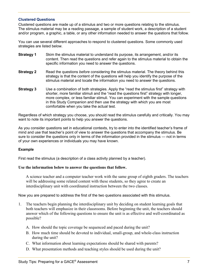### <span id="page-6-0"></span>**Clustered Questions**

Clustered questions are made up of a stimulus and two or more questions relating to the stimulus. The stimulus material may be a reading passage, a sample of student work, a description of a student and/or program, a graphic, a table, or any other information needed to answer the questions that follow.

You can use several different approaches to respond to clustered questions. Some commonly used strategies are listed below.

- **Strategy 1** Skim the stimulus material to understand its purpose, its arrangement, and/or its content. Then read the questions and refer again to the stimulus material to obtain the specific information you need to answer the questions.
- **Strategy 2** Read the questions *before* considering the stimulus material. The theory behind this strategy is that the content of the questions will help you identify the purpose of the stimulus material and locate the information you need to answer the questions.
- **Strategy 3** Use a combination of both strategies. Apply the "read the stimulus first" strategy with shorter, more familiar stimuli and the "read the questions first" strategy with longer, more complex, or less familiar stimuli. You can experiment with the sample questions in this Study Companion and then use the strategy with which you are most comfortable when you take the actual test.

Regardless of which strategy you choose, you should read the stimulus carefully and critically. You may want to note its important points to help you answer the questions.

As you consider questions set in educational contexts, try to enter into the identified teacher's frame of mind and use that teacher's point of view to answer the questions that accompany the stimulus. Be sure to consider the questions only in terms of the information provided in the stimulus — not in terms of your own experiences or individuals you may have known.

### **Example**

First read the stimulus (a description of a class activity planned by a teacher).

### **Use the information below to answer the questions that follow.**

A science teacher and a computer teacher work with the same group of eighth graders. The teachers will be addressing some related content with these students, so they agree to create an interdisciplinary unit with coordinated instruction between the two classes.

Now you are prepared to address the first of the two questions associated with this stimulus.

- 1. The teachers begin planning the interdisciplinary unit by deciding on student learning goals that both teachers will emphasize in their classrooms. Before beginning the unit, the teachers should answer which of the following questions to ensure the unit is as effective and well-coordinated as possible?
	- A. How should the topic coverage be sequenced and paced during the unit?
	- B. How much time should be devoted to individual, small-group, and whole-class instruction during the unit?
	- C. What information about learning expectations should be shared with parents?
	- D. What presentation methods and teaching styles should be used during the unit?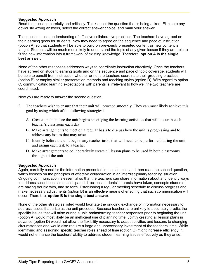### **Suggested Approach**

Read the question carefully and critically. Think about the question that is being asked. Eliminate any obviously wrong answers, select the correct answer choice, and mark your answer.

This question tests understanding of effective collaborative practices. The teachers have agreed on their learning goals for students. Now they need to agree on the sequence and pace of instruction (option A) so that students will be able to build on previously presented content as new content is taught. Students will be much more likely to understand the topic of any given lesson if they are able to fit the new information into a framework of existing knowledge. Therefore, **option A is the single best answer**.

None of the other responses addresses ways to coordinate instruction effectively. Once the teachers have agreed on student learning goals and on the sequence and pace of topic coverage, students will be able to benefit from instruction whether or not the teachers coordinate their grouping practices (option B) or employ similar presentation methods and teaching styles (option D). With regard to option C, communicating learning expectations with parents is irrelevant to how well the two teachers are coordinated.

Now you are ready to answer the second question.

- 2. The teachers wish to ensure that their unit will proceed smoothly. They can most likely achieve this goal by using which of the following strategies?
	- A. Create a plan before the unit begins specifying the learning activities that will occur in each teacher's classroom each day
	- B. Make arrangements to meet on a regular basis to discuss how the unit is progressing and to address any issues that may arise
	- C. Identify before the unit begins any teacher tasks that will need to be performed during the unit and assign each task to a teacher
	- D. Make arrangements to collaboratively create all lesson plans to be used in both classrooms throughout the unit

### **Suggested Approach**

Again, carefully consider the information presented in the stimulus, and then read the second question, which focuses on the principles of effective collaboration in an interdisciplinary teaching situation. Ongoing communication is essential so that the teachers can share information about and identify ways to address such issues as unanticipated directions students' interests have taken, concepts students are having trouble with, and so forth. Establishing a regular meeting schedule to discuss progress and make necessary adjustments (option B) is an effective means of ensuring that such communication will occur. Therefore, **option B is the single best answer**.

None of the other strategies listed would facilitate the ongoing exchange of information necessary to address issues that arise as the unit proceeds. Because teachers are unlikely to accurately predict the specific issues that will arise during a unit, brainstorming teacher responses prior to beginning the unit (option A) would most likely be an inefficient use of planning time. Jointly creating all lesson plans in advance (option D) would not allow the flexibility necessary to adapt activities and lessons to changing circumstances and would also require a large and unnecessary investment of the teachers' time. While identifying and assigning specific teacher roles ahead of time (option C) might increase efficiency, it would not enhance the teachers' ability to address student learning issues effectively as they arise.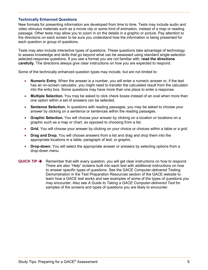### <span id="page-8-0"></span>**Technically Enhanced Questions**

New formats for presenting information are developed from time to time. Tests may include audio and video stimulus materials such as a movie clip or some kind of animation, instead of a map or reading passage. Other tests may allow you to zoom in on the details in a graphic or picture. Pay attention to the directions on each screen to be sure you understand how the information is being presented for each question or group of questions.

Tests may also include interactive types of questions. These questions take advantage of technology to assess knowledge and skills that go beyond what can be assessed using standard single-selection selected-response questions. If you see a format you are not familiar with, **read the directions carefully**. The directions always give clear instructions on how you are expected to respond.

Some of the technically enhanced question types may include, but are not limited to:

- **Numeric Entry.** When the answer is a number, you will enter a numeric answer or, if the test has an on-screen calculator, you might need to transfer the calculated result from the calculator into the entry box. Some questions may have more than one place to enter a response.
- **Multiple Selection.** You may be asked to click check boxes instead of an oval when more than one option within a set of answers can be selected.
- Sentence Selection. In questions with reading passages, you may be asked to choose your answer by clicking on a sentence or sentences within the reading passages.
- **Graphic Selection.** You will choose your answer by clicking on a location or locations on a graphic such as a map or chart, as opposed to choosing from a list.
- **Grid.** You will choose your answer by clicking on your choice or choices within a table or a grid.
- **Drag and Drop.** You will choose answers from a list and drag and drop them into the appropriate locations in a table, paragraph of text, or graphic.
- **Drop-down.** You will select the appropriate answer or answers by selecting options from a drop-down menu.
- **QUICK TIP**  $\rightarrow$  Remember that with every question, you will get clear instructions on how to respond. There are also "Help" screens built into each test with additional instructions on how to answer specific types of questions. See the GACE Computer-delivered Testing Demonstration in the Test Preparation Resources section of the GACE website to learn how a GACE test works and see examples of some of the types of questions you may encounter. Also see *A Guide to Taking a GACE Computer-delivered Test* for samples of the screens and types of questions you are likely to encounter.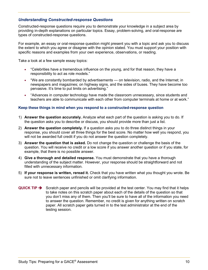### <span id="page-9-0"></span>*Understanding Constructed-response Questions*

Constructed-response questions require you to demonstrate your knowledge in a subject area by providing in-depth explanations on particular topics. Essay, problem-solving, and oral-response are types of constructed-response questions.

For example, an essay or oral-response question might present you with a topic and ask you to discuss the extent to which you agree or disagree with the opinion stated. You must support your position with specific reasons and examples from your own experience, observations, or reading.

Take a look at a few sample essay topics:

- "Celebrities have a tremendous influence on the young, and for that reason, they have a responsibility to act as role models."
- "We are constantly bombarded by advertisements on television, radio, and the Internet; in newspapers and magazines; on highway signs, and the sides of buses. They have become too pervasive. It's time to put limits on advertising."
- "Advances in computer technology have made the classroom unnecessary, since students and teachers are able to communicate with each other from computer terminals at home or at work."

#### **Keep these things in mind when you respond to a constructed-response question**

- 1) **Answer the question accurately.** Analyze what each part of the question is asking you to do. If the question asks you to describe or discuss, you should provide more than just a list.
- 2) **Answer the question completely.** If a question asks you to do three distinct things in your response, you should cover all three things for the best score. No matter how well you respond, you will not be awarded full credit if you do not answer the question completely.
- 3) **Answer the question that is asked.** Do not change the question or challenge the basis of the question. You will receive no credit or a low score if you answer another question or if you state, for example, that there is no possible answer.
- 4) **Give a thorough and detailed response.** You must demonstrate that you have a thorough understanding of the subject matter. However, your response should be straightforward and not filled with unnecessary information.
- 5) **If your response is written, reread it.** Check that you have written what you thought you wrote. Be sure not to leave sentences unfinished or omit clarifying information.
- **QUICK TIP**  $\rightarrow$  Scratch paper and pencils will be provided at the test center. You may find that it helps to take notes on this scratch paper about each of the details of the question so that you don't miss any of them. Then you'll be sure to have all of the information you need to answer the question. Remember, no credit is given for anything written on scratch paper. All scratch paper gets turned in to the test administrator at the end of the testing session.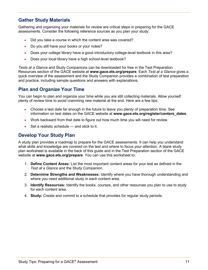### <span id="page-10-0"></span>**Gather Study Materials**

Gathering and organizing your materials for review are critical steps in preparing for the GACE assessments. Consider the following reference sources as you plan your study:

- Did you take a course in which the content area was covered?
- Do you still have your books or your notes?
- Does your college library have a good introductory college-level textbook in this area?
- Does your local library have a high school-level textbook?

*Tests at a Glance* and Study Companions can be downloaded for free in the Test Preparation Resources section of the GACE website at **[www.gace.ets.org/](http://www.gace.ets.org/)prepare**. Each *Test at a Glance* gives a quick overview of the assessment and the Study Companion provides a combination of test preparation and practice, including sample questions and answers with explanations.

### <span id="page-10-1"></span>**Plan and Organize Your Time**

You can begin to plan and organize your time while you are still collecting materials. Allow yourself plenty of review time to avoid cramming new material at the end. Here are a few tips:

- Choose a test date far enough in the future to leave you plenty of preparation time. See information on test dates on the GACE website at **[www.gace.ets.org/](http://www.gace.ets.org/)register/centers\_dates**.
- Work backward from that date to figure out how much time you will need for review.
- Set a realistic schedule and stick to it.

### <span id="page-10-2"></span>**Develop Your Study Plan**

A study plan provides a roadmap to prepare for the GACE assessments. It can help you understand what skills and knowledge are covered on the test and where to focus your attention. A blank study plan worksheet is available in the back of this guide and in the Test Preparation section of the GACE website at **[www.gace.ets.org/prepare](http://www.gace.ets.org/prepare)**. You can use this worksheet to:

- 1. **Define Content Areas:** List the most important content areas for your test as defined in the *Test at a Glance* and the Study Companion.
- 2. **Determine Strengths and Weaknesses:** Identify where you have thorough understanding and where you need additional study in each content area.
- 3. **Identify Resources:** Identify the books, courses, and other resources you plan to use to study for each content area.
- 4. **Study:** Create and commit to a schedule that provides for regular study periods.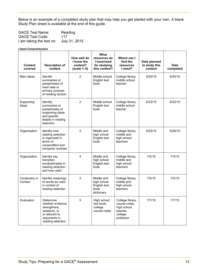Below is an example of a completed study plan that may help you get started with your own. A blank Study Plan sheet is available at the end of this guide.

| <b>GACE Test Name:</b>   | Reading       |
|--------------------------|---------------|
| <b>GACE Test Code:</b>   | 117           |
| I am taking the test on: | July 31, 2015 |

#### **Literal Comprehension**

| <b>Content</b><br>covered | <b>Description of</b><br>content                                                                                    | How well do<br>I know the<br>content?<br>$(scale 1-5)$ | <b>What</b><br>resources do<br>I have/need<br>for studying<br>this content? | Where can I<br>find the<br>resources<br>I need?                                      | Date planned<br>to study this<br>content | <b>Date</b><br>completed |
|---------------------------|---------------------------------------------------------------------------------------------------------------------|--------------------------------------------------------|-----------------------------------------------------------------------------|--------------------------------------------------------------------------------------|------------------------------------------|--------------------------|
| Main Ideas                | Identify<br>summaries or<br>paraphrases of<br>main idea or<br>primary purpose<br>of reading section                 | 2                                                      | Middle school<br>English text<br>book                                       | College library,<br>middle school<br>teacher                                         | 6/20/15                                  | 6/20/15                  |
| Supporting<br>Ideas       | Identify<br>summaries or<br>paraphrases of<br>supporting ideas<br>and specific<br>details in reading<br>selection   | 2                                                      | Middle school<br>English text<br>book                                       | College library,<br>middle school<br>teacher                                         | 6/22/15                                  | 6/22/15                  |
| Organization              | Identify how<br>reading selection<br>is organized in<br>terms of<br>cause/effect and<br>compare/ contrast           | 3                                                      | Middle and<br>high school<br>English text<br>book                           | College library,<br>middle and<br>high school<br>teachers                            | 6/25/15                                  | 6/26/15                  |
| Organization              | Identify key<br>transition<br>words/phrases in<br>reading selection<br>and how used                                 | $\overline{\mathbf{A}}$                                | Middle and<br>high school<br>English text<br>book                           | College library,<br>middle and<br>high school<br>teachers                            | 7/2/15                                   | 7/3/15                   |
| Vocabulary in<br>Context  | Identify meanings<br>of words as used<br>in context of<br>reading selection                                         | 3                                                      | Middle and<br>high school<br>English text<br>book,<br>dictionary            | College library,<br>middle and<br>high school<br>teachers                            | 7/2/15                                   | 7/2/15                   |
| Evaluation                | Determine<br>whether evidence<br>strengthens,<br>weakens, or<br>is relevant to<br>arguments in<br>reading selection | 5                                                      | High school<br>text book,<br>college<br>course notes                        | College library,<br>course notes,<br>high school<br>teacher.<br>college<br>professor | 7/7/15                                   | 7/7/15                   |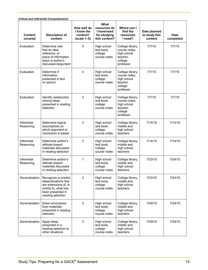|                           | <b>Critical and Inferential Comprehension</b>                                                                                            |                                                        |                                                                      |                                                                                      |                                          |                          |
|---------------------------|------------------------------------------------------------------------------------------------------------------------------------------|--------------------------------------------------------|----------------------------------------------------------------------|--------------------------------------------------------------------------------------|------------------------------------------|--------------------------|
| <b>Content</b><br>covered | <b>Description of</b><br>content                                                                                                         | How well do<br>I know the<br>content?<br>$(scale 1-5)$ | What<br>resources do<br>I have/need<br>for studying<br>this content? | Where can I<br>find the<br>resources<br>I need?                                      | Date planned<br>to study this<br>content | <b>Date</b><br>completed |
| Evaluation                | Determine role<br>that an idea,<br>reference, or<br>piece of information<br>plays in author's<br>discussion/argument                     | 5                                                      | High school<br>text book,<br>college<br>course notes                 | College library,<br>course notes,<br>high school<br>teacher.<br>college<br>professor | 7/7/15                                   | 7/7/15                   |
| Evaluation                | Determine if<br>information<br>presented is fact<br>or opinion                                                                           | 4                                                      | High school<br>text book,<br>college<br>course notes                 | College library,<br>course notes,<br>high school<br>teacher.<br>college<br>professor | 7/7/15                                   | 7/7/15                   |
| Evaluation                | Identify relationship<br>among ideas<br>presented in reading<br>selection                                                                | $\overline{2}$                                         | High school<br>text book,<br>college<br>course notes                 | College library,<br>course notes,<br>high school<br>teacher,<br>college<br>professor | 7/7/15                                   | 7/7/15                   |
| Inferential<br>Reasoning  | Determine logical<br>assumptions on<br>which argument or<br>conclusion is based                                                          | 3                                                      | High school<br>text book,<br>college<br>course notes                 | College library,<br>middle and<br>high school<br>teachers                            | 7/14/15                                  | 7/14/15                  |
| Inferential<br>Reasoning  | Determine author's<br>attitude toward<br>materials discussed<br>in reading selection                                                     | $\overline{2}$                                         | High school<br>text book,<br>college<br>course notes                 | College library,<br>middle and<br>high school<br>teachers                            | 7/14/15                                  | 7/14/15                  |
| Inferential<br>Reasoning  | Determine author's<br>attitude toward<br>materials discussed<br>in reading selection                                                     | 1                                                      | High school<br>text book,<br>college<br>course notes                 | College library,<br>middle and<br>high school<br>teachers                            | 7/23/15                                  | 7/24/15                  |
| Generalization            | Recognize or predict<br>ideas/situations that<br>are extensions of, or<br>similar to, what has<br>been presented in<br>reading selection | $\overline{2}$                                         | High school<br>text book,<br>college<br>course notes                 | College library,<br>middle and<br>high school<br>teachers                            | 7/23/15                                  | 7/24/15                  |
| Generalization            | Draw conclusions<br>from materials<br>presented in reading<br>selection                                                                  | 3                                                      | High school<br>text book,<br>college<br>course notes                 | College library,<br>middle and<br>high school<br>teachers                            | 7/29/15                                  | 7/29/15                  |
| Generalization            | Apply ideas<br>presented in a<br>reading selection to<br>other situations                                                                | 3                                                      | High school<br>text book,<br>college<br>course notes                 | College library,<br>middle and<br>high school<br>teachers                            | 7/29/15                                  | 7/29/15                  |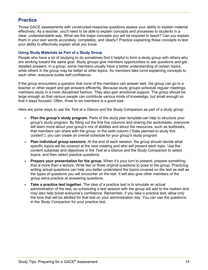### <span id="page-13-0"></span>**Practice**

Those GACE assessments with constructed-response questions assess your ability to explain material effectively. As a teacher, you'll need to be able to explain concepts and processes to students in a clear, understandable way. What are the major concepts you will be required to teach? Can you explain them in your own words accurately, completely, and clearly? Practice explaining these concepts to test your ability to effectively explain what you know.

### <span id="page-13-1"></span>**Using Study Materials as Part of a Study Group**

People who have a lot of studying to do sometimes find it helpful to form a study group with others who are working toward the same goal. Study groups give members opportunities to ask questions and get detailed answers. In a group, some members usually have a better understanding of certain topics, while others in the group may be better at other topics. As members take turns explaining concepts to each other, everyone builds self-confidence.

If the group encounters a question that none of the members can answer well, the group can go to a teacher or other expert and get answers efficiently. Because study groups schedule regular meetings, members study in a more disciplined fashion. They also gain emotional support. The group should be large enough so that various people can contribute various kinds of knowledge, but small enough so that it stays focused. Often, three to six members is a good size.

Here are some ways to use the *Test at a Glance* and the Study Companion as part of a study group:

- **Plan the group's study program.** Parts of the study plan template can help to structure your group's study program. By filling out the first five columns and sharing the worksheets, everyone will learn more about your group's mix of abilities and about the resources, such as textbooks, that members can share with the group. In the sixth column ("Date planned to study this content"), you can create an overall schedule for your group's study program.
- **Plan individual group sessions.** At the end of each session, the group should decide what specific topics will be covered at the next meeting and who will present each topic. Use the content subareas and objectives in the *Test at a Glance* and the Study Companion to select topics, and then select practice questions.
- **Prepare your presentation for the group.** When it's your turn to present, prepare something that is more than a lecture. Write two or three original questions to pose to the group. Practicing writing actual questions can help you better understand the topics covered on the test as well as the types of questions you will encounter on the test. It will also give other members of the group extra practice at answering questions.
- **Take a practice test together.** The idea of a practice test is to simulate an actual administration of the test, so scheduling a test session with the group will add to the realism and may also help boost everyone's confidence. Remember, if you take a practice test, allow only the time that will be allotted for that test on your administration day. You can use the questions in the Study Companion for your practice test.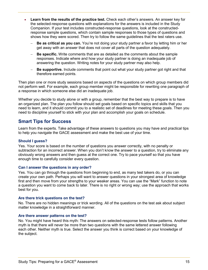- **Learn from the results of the practice test.** Check each other's answers. An answer key for the selected-response questions with explanations for the answers is included in the Study Companion. If your test includes constructed-response questions, look at the constructedresponse sample questions, which contain sample responses to those types of questions and shows how they were scored. Then try to follow the same guidelines that the test raters use.
	- Be as critical as you can. You're not doing your study partner a favor by letting him or her get away with an answer that does not cover all parts of the question adequately.
	- **Be specific.** Write comments that are as detailed as the comments about the sample responses. Indicate where and how your study partner is doing an inadequate job of answering the question. Writing notes for your study partner may also help.
	- **Be supportive.** Include comments that point out what your study partner got right and that therefore earned points.

Then plan one or more study sessions based on aspects of the questions on which group members did not perform well. For example, each group member might be responsible for rewriting one paragraph of a response in which someone else did an inadequate job.

Whether you decide to study alone or with a group, remember that the best way to prepare is to have an organized plan. The plan you follow should set goals based on specific topics and skills that you need to learn, and it should commit you to a realistic set of deadlines for meeting these goals. Then you need to discipline yourself to stick with your plan and accomplish your goals on schedule.

### <span id="page-14-0"></span>**Smart Tips for Success**

Learn from the experts. Take advantage of these answers to questions you may have and practical tips to help you navigate the GACE assessment and make the best use of your time.

### <span id="page-14-1"></span>**Should I guess?**

Yes. Your score is based on the number of questions you answer correctly, with no penalty or subtraction for an incorrect answer. When you don't know the answer to a question, try to eliminate any obviously wrong answers and then guess at the correct one. Try to pace yourself so that you have enough time to carefully consider every question.

#### <span id="page-14-2"></span>**Can I answer the questions in any order?**

Yes. You can go through the questions from beginning to end, as many test takers do, or you can create your own path. Perhaps you will want to answer questions in your strongest area of knowledge first and then move from your strengths to your weaker areas. You can use the "Mark" function to note a question you want to come back to later. There is no right or wrong way; use the approach that works best for you.

#### <span id="page-14-3"></span>**Are there trick questions on the test?**

No. There are no hidden meanings or trick wording. All of the questions on the test ask about subject matter knowledge in a straightforward manner.

#### <span id="page-14-4"></span>**Are there answer patterns on the test?**

No. You might have heard this myth: The answers on selected-response tests follow patterns. Another myth is that there will never be more than two questions with the same lettered answer following each other. Neither myth is true. Select the answer you think is correct based on your knowledge of the subject.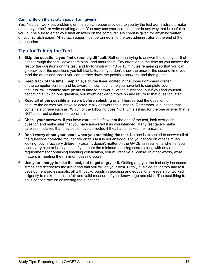### <span id="page-15-0"></span>**Can I write on the scratch paper I am given?**

Yes. You can work out problems on the scratch paper provided to you by the test administrator, make notes to yourself, or write anything at all. You may use your scratch paper in any way that is useful to you, but be sure to enter your final answers on the computer. No credit is given for anything written on your scratch paper. All scratch paper must be turned in to the test administrator at the end of the test session.

### <span id="page-15-1"></span>**Tips for Taking the Test**

- 1. **Skip the questions you find extremely difficult.** Rather than trying to answer these on your first pass through the test, leave them blank and mark them. Pay attention to the time as you answer the rest of the questions on the test, and try to finish with 10 or 15 minutes remaining so that you can go back over the questions you left blank. Even if you don't know the answer the second time you read the questions, see if you can narrow down the possible answers, and then guess.
- 2. **Keep track of the time.** Keep an eye on the timer located in the upper right-hand corner of the computer screen, and be aware of how much time you have left to complete your test. You will probably have plenty of time to answer all of the questions, but if you find yourself becoming stuck on one question, you might decide to move on and return to that question later.
- 3. **Read all of the possible answers before selecting one.** Then, reread the question to be sure the answer you have selected really answers the question. Remember, a question that contains a phrase such as "Which of the following does NOT …" is asking for the one answer that is NOT a correct statement or conclusion.
- 4. **Check your answers.** If you have extra time left over at the end of the test, look over each question and make sure that you have answered it as you intended. Many test takers make careless mistakes that they could have corrected if they had checked their answers.
- 5. **Don't worry about your score when you are taking the test.** No one is expected to answer all of the questions correctly. Your score on this test is not analogous to your score on other similarlooking (but in fact very different!) tests. It doesn't matter on the GACE assessments whether you score very high or barely pass. If you meet the minimum passing scores along with any other requirements for obtaining teaching certification, you will receive a license. In other words, what matters is meeting the minimum passing score.
- 6. **Use your energy to take the test, not to get angry at it.** Getting angry at the test only increases stress and decreases the likelihood that you will do your best. Highly qualified educators and test development professionals, all with backgrounds in teaching and educational leadership, worked diligently to make the test a fair and valid measure of your knowledge and skills. The best thing to do is concentrate on answering the questions.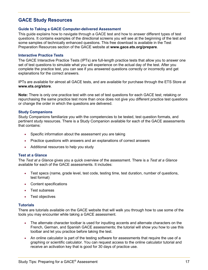### <span id="page-16-0"></span>**GACE Study Resources**

#### <span id="page-16-1"></span>**Guide to Taking a GACE Computer-delivered Assessment**

This guide explains how to navigate through a GACE test and how to answer different types of test questions. It contains examples of the directional screens you will see at the beginning of the test and some samples of technically enhanced questions. This free download is available in the Test Preparation Resources section of the GACE website at **[www.gace.ets.org/prepare](http://www.gace.ets.org/prepare)**.

#### <span id="page-16-2"></span>**Interactive Practice Tests**

The GACE Interactive Practice Tests (IPTs) are full-length practice tests that allow you to answer one set of test questions to simulate what you will experience on the actual day of the test. After you complete the practice test, you can see if you answered questions correctly or incorrectly and get explanations for the correct answers.

IPTs are available for almost all GACE tests, and are available for purchase through the ETS Store at **[www.ets.org/store](http://www.ets.org/store)**.

**Note:** There is only one practice test with one set of test questions for each GACE test; retaking or repurchasing the same practice test more than once does not give you different practice test questions or change the order in which the questions are delivered.

#### <span id="page-16-3"></span>**Study Companions**

Study Companions familiarize you with the competencies to be tested, test question formats, and pertinent study resources. There is a Study Companion available for each of the GACE assessments that contains:

- Specific information about the assessment you are taking
- Practice questions with answers and an explanations of correct answers
- Additional resources to help you study

#### <span id="page-16-4"></span>**Test at a Glance**

The *Test at a Glance* gives you a quick overview of the assessment. There is a *Test at a Glance* available for each of the GACE assessments. It includes:

- Test specs (name, grade level, test code, testing time, test duration, number of questions, test format)
- Content specifications
- Test subareas
- Test objectives

### <span id="page-16-5"></span>**Tutorials**

There are tutorials available on the GACE website that will walk you through how to use some of the tools you may encounter while taking a GACE assessment.

- The alternate character toolbar is used for inputting accents and alternate characters on the French, German, and Spanish GACE assessments; the tutorial will show you how to use this toolbar and let you practice before taking the test.
- An online calculator is part of the testing software for assessments that require the use of a graphing or scientific calculator. You can request access to the online calculator tutorial and receive an activation key that is good for 30 days of practice use.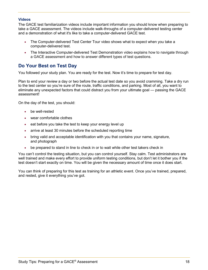### <span id="page-17-0"></span>**Videos**

The GACE test familiarization videos include important information you should know when preparing to take a GACE assessment. The videos include walk-throughs of a computer-delivered testing center and a demonstration of what it's like to take a computer-delivered GACE test.

- The Computer-delivered Test Center Tour video shows what to expect when you take a computer-delivered test.
- The Interactive Computer-delivered Test Demonstration video explains how to navigate through a GACE assessment and how to answer different types of test questions.

### <span id="page-17-1"></span>**Do Your Best on Test Day**

You followed your study plan. You are ready for the test. Now it's time to prepare for test day.

Plan to end your review a day or two before the actual test date so you avoid cramming. Take a dry run to the test center so you're sure of the route, traffic conditions, and parking. Most of all, you want to eliminate any unexpected factors that could distract you from your ultimate goal — passing the GACE assessment!

On the day of the test, you should:

- be well-rested
- wear comfortable clothes
- eat before you take the test to keep your energy level up
- arrive at least 30 minutes before the scheduled reporting time
- bring valid and acceptable identification with you that contains your name, signature, and photograph
- be prepared to stand in line to check in or to wait while other test takers check in

You can't control the testing situation, but you can control yourself. Stay calm. Test administrators are well trained and make every effort to provide uniform testing conditions, but don't let it bother you if the test doesn't start exactly on time. You will be given the necessary amount of time once it does start.

You can think of preparing for this test as training for an athletic event. Once you've trained, prepared, and rested, give it everything you've got.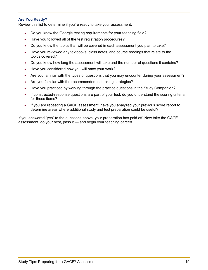### <span id="page-18-0"></span>**Are You Ready?**

Review this list to determine if you're ready to take your assessment.

- Do you know the Georgia testing requirements for your teaching field?
- Have you followed all of the test registration procedures?
- Do you know the topics that will be covered in each assessment you plan to take?
- Have you reviewed any textbooks, class notes, and course readings that relate to the topics covered?
- Do you know how long the assessment will take and the number of questions it contains?
- Have you considered how you will pace your work?
- Are you familiar with the types of questions that you may encounter during your assessment?
- Are you familiar with the recommended test-taking strategies?
- Have you practiced by working through the practice questions in the Study Companion?
- If constructed-response questions are part of your test, do you understand the scoring criteria for these items?
- If you are repeating a GACE assessment, have you analyzed your previous score report to determine areas where additional study and test preparation could be useful?

If you answered "yes" to the questions above, your preparation has paid off. Now take the GACE assessment, do your best, pass it — and begin your teaching career!